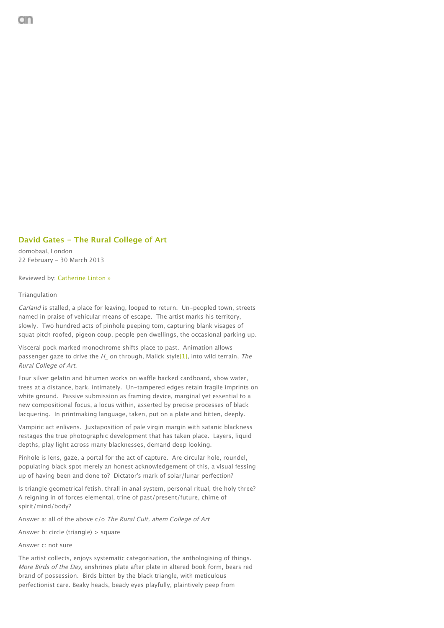## **David Gates - The Rural College of Art**

domobaal, London 22 February - 30 March 2013

Reviewed by: Catherine Linton »

## Triangulation

Carland is stalled, a place for leaving, looped to return. Un-peopled town, streets named in praise of vehicular means of escape. The artist marks his territory, slowly. Two hundred acts of pinhole peeping tom, capturing blank visages of squat pitch roofed, pigeon coup, people pen dwellings, the occasional parking up.

Visceral pock marked monochrome shifts place to past. Animation allows passenger gaze to drive the H on through, Malick style<sup>[1]</sup>, into wild terrain, The Rural College of Art.

Four silver gelatin and bitumen works on waffle backed cardboard, show water, trees at a distance, bark, intimately. Un-tampered edges retain fragile imprints on white ground. Passive submission as framing device, marginal yet essential to a new compositional focus, a locus within, asserted by precise processes of black lacquering. In printmaking language, taken, put on a plate and bitten, deeply.

Vampiric act enlivens. Juxtaposition of pale virgin margin with satanic blackness restages the true photographic development that has taken place. Layers, liquid depths, play light across many blacknesses, demand deep looking.

Pinhole is lens, gaze, a portal for the act of capture. Are circular hole, roundel, populating black spot merely an honest acknowledgement of this, a visual fessing up of having been and done to? Dictator's mark of solar/lunar perfection?

Is triangle geometrical fetish, thrall in anal system, personal ritual, the holy three? A reigning in of forces elemental, trine of past/present/future, chime of spirit/mind/body?

Answer a: all of the above c/o The Rural Cult, ahem College of Art

Answer b: circle (triangle) > square

Answer c: not sure

The artist collects, enjoys systematic categorisation, the anthologising of things. More Birds of the Day, enshrines plate after plate in altered book form, bears red brand of possession. Birds bitten by the black triangle, with meticulous perfectionist care. Beaky heads, beady eyes playfully, plaintively peep from